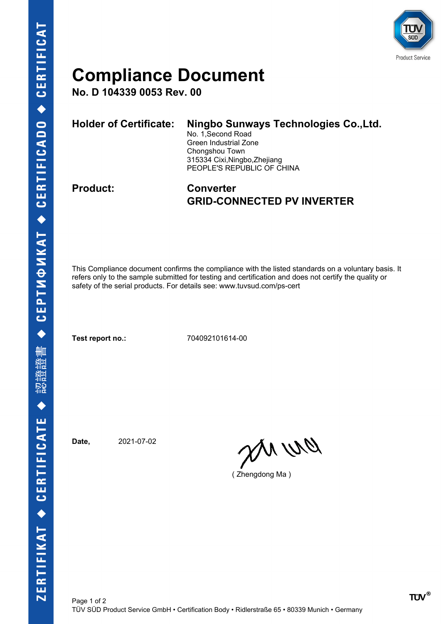

## **Compliance Document**

**No. D 104339 0053 Rev. 00**

| <b>Holder of Certificate:</b> | Ningbo Sunways Technologies Co., Ltd.<br>No. 1, Second Road<br>Green Industrial Zone<br>Chongshou Town<br>315334 Cixi, Ningbo, Zhejiang<br>PEOPLE'S REPUBLIC OF CHINA |
|-------------------------------|-----------------------------------------------------------------------------------------------------------------------------------------------------------------------|
|                               |                                                                                                                                                                       |

## **Product: Converter GRID-CONNECTED PV INVERTER**

This Compliance document confirms the compliance with the listed standards on a voluntary basis. It refers only to the sample submitted for testing and certification and does not certify the quality or safety of the serial products. For details see: www.tuvsud.com/ps-cert

**Test report no.:** 704092101614-00

**Date,** 2021-07-02

en ur

( Zhengdong Ma )